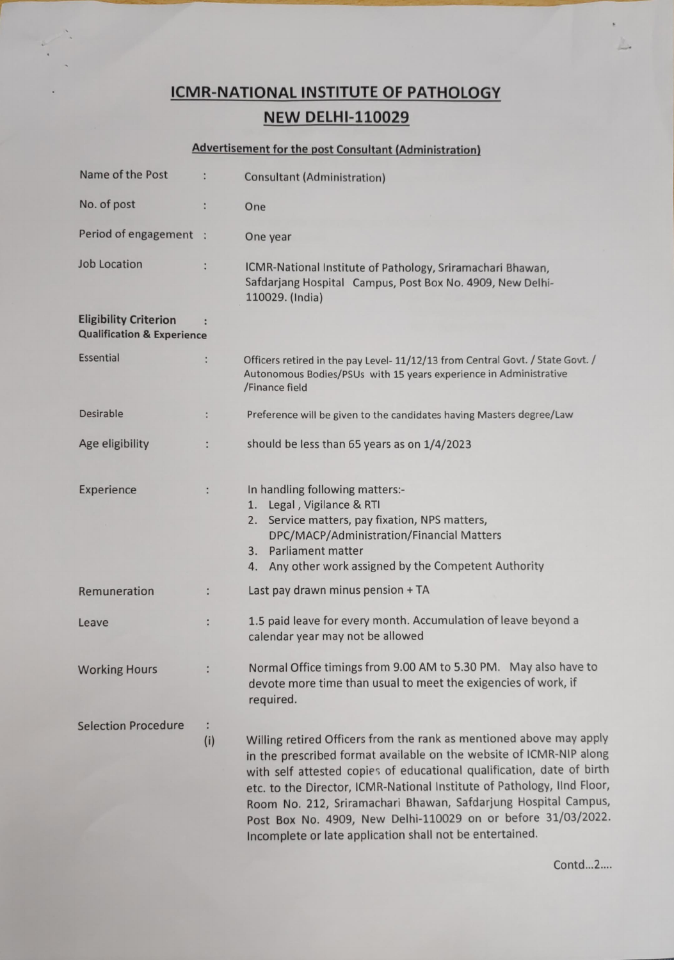## ICMR-NATIONAL INSTITUTE OF PATHOLOGY **NEW DELHI-110029**

## Advertisement for the post Consultant (Administration)

| Name of the Post                                                      |                      |                                                                                                                                                                                                                                                                                                                                                                                                                                                                                              |
|-----------------------------------------------------------------------|----------------------|----------------------------------------------------------------------------------------------------------------------------------------------------------------------------------------------------------------------------------------------------------------------------------------------------------------------------------------------------------------------------------------------------------------------------------------------------------------------------------------------|
|                                                                       |                      | <b>Consultant (Administration)</b>                                                                                                                                                                                                                                                                                                                                                                                                                                                           |
| No. of post                                                           |                      | One                                                                                                                                                                                                                                                                                                                                                                                                                                                                                          |
| Period of engagement :                                                |                      | One year                                                                                                                                                                                                                                                                                                                                                                                                                                                                                     |
| <b>Job Location</b>                                                   |                      | ICMR-National Institute of Pathology, Sriramachari Bhawan,<br>Safdarjang Hospital Campus, Post Box No. 4909, New Delhi-<br>110029. (India)                                                                                                                                                                                                                                                                                                                                                   |
| <b>Eligibility Criterion</b><br><b>Qualification &amp; Experience</b> |                      |                                                                                                                                                                                                                                                                                                                                                                                                                                                                                              |
| <b>Essential</b>                                                      | $\ddot{\cdot}$       | Officers retired in the pay Level- 11/12/13 from Central Govt. / State Govt. /<br>Autonomous Bodies/PSUs with 15 years experience in Administrative<br>/Finance field                                                                                                                                                                                                                                                                                                                        |
| <b>Desirable</b>                                                      | $\ddot{\phantom{a}}$ | Preference will be given to the candidates having Masters degree/Law                                                                                                                                                                                                                                                                                                                                                                                                                         |
| Age eligibility                                                       | $\ddot{\cdot}$       | should be less than 65 years as on 1/4/2023                                                                                                                                                                                                                                                                                                                                                                                                                                                  |
| Experience                                                            | $\ddot{\phantom{a}}$ | In handling following matters:-<br>1. Legal, Vigilance & RTI<br>2. Service matters, pay fixation, NPS matters,<br>DPC/MACP/Administration/Financial Matters<br>3. Parliament matter<br>Any other work assigned by the Competent Authority<br>4.                                                                                                                                                                                                                                              |
| Remuneration                                                          | t                    | Last pay drawn minus pension + TA                                                                                                                                                                                                                                                                                                                                                                                                                                                            |
| Leave                                                                 |                      | 1.5 paid leave for every month. Accumulation of leave beyond a<br>calendar year may not be allowed                                                                                                                                                                                                                                                                                                                                                                                           |
| <b>Working Hours</b>                                                  |                      | Normal Office timings from 9.00 AM to 5.30 PM. May also have to<br>devote more time than usual to meet the exigencies of work, if<br>required.                                                                                                                                                                                                                                                                                                                                               |
| <b>Selection Procedure</b>                                            | ÷<br>(i)             | Willing retired Officers from the rank as mentioned above may apply<br>in the prescribed format available on the website of ICMR-NIP along<br>with self attested copies of educational qualification, date of birth<br>etc. to the Director, ICMR-National Institute of Pathology, IInd Floor,<br>Room No. 212, Sriramachari Bhawan, Safdarjung Hospital Campus,<br>Post Box No. 4909, New Delhi-110029 on or before 31/03/2022.<br>Incomplete or late application shall not be entertained. |